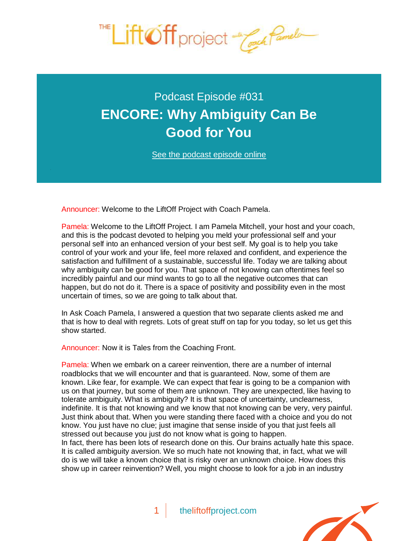

## Podcast Episode #031 **[ENCORE: Why Ambiguity Can Be](http://theliftoffproject.com/encore-ambiguity-can-good/)  Good for You**

*See the podcast episode online* 

Announcer: Welcome to the LiftOff Project with Coach Pamela.

Pamela: Welcome to the LiftOff Project. I am Pamela Mitchell, your host and your coach, and this is the podcast devoted to helping you meld your professional self and your personal self into an enhanced version of your best self. My goal is to help you take control of your work and your life, feel more relaxed and confident, and experience the satisfaction and fulfillment of a sustainable, successful life. Today we are talking about why ambiguity can be good for you. That space of not knowing can oftentimes feel so incredibly painful and our mind wants to go to all the negative outcomes that can happen, but do not do it. There is a space of positivity and possibility even in the most uncertain of times, so we are going to talk about that.

In Ask Coach Pamela, I answered a question that two separate clients asked me and that is how to deal with regrets. Lots of great stuff on tap for you today, so let us get this show started.

Announcer: Now it is Tales from the Coaching Front.

Pamela: When we embark on a career reinvention, there are a number of internal roadblocks that we will encounter and that is guaranteed. Now, some of them are known. Like fear, for example. We can expect that fear is going to be a companion with us on that journey, but some of them are unknown. They are unexpected, like having to tolerate ambiguity. What is ambiguity? It is that space of uncertainty, unclearness, indefinite. It is that not knowing and we know that not knowing can be very, very painful. Just think about that. When you were standing there faced with a choice and you do not know. You just have no clue; just imagine that sense inside of you that just feels all stressed out because you just do not know what is going to happen.

In fact, there has been lots of research done on this. Our brains actually hate this space. It is called ambiguity aversion. We so much hate not knowing that, in fact, what we will do is we will take a known choice that is risky over an unknown choice. How does this show up in career reinvention? Well, you might choose to look for a job in an industry

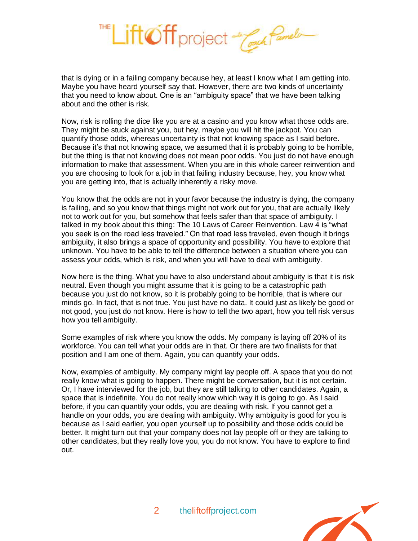

that is dying or in a failing company because hey, at least I know what I am getting into. Maybe you have heard yourself say that. However, there are two kinds of uncertainty that you need to know about. One is an "ambiguity space" that we have been talking about and the other is risk.

Now, risk is rolling the dice like you are at a casino and you know what those odds are. They might be stuck against you, but hey, maybe you will hit the jackpot. You can quantify those odds, whereas uncertainty is that not knowing space as I said before. Because it's that not knowing space, we assumed that it is probably going to be horrible, but the thing is that not knowing does not mean poor odds. You just do not have enough information to make that assessment. When you are in this whole career reinvention and you are choosing to look for a job in that failing industry because, hey, you know what you are getting into, that is actually inherently a risky move.

You know that the odds are not in your favor because the industry is dying, the company is failing, and so you know that things might not work out for you, that are actually likely not to work out for you, but somehow that feels safer than that space of ambiguity. I talked in my book about this thing: *The 10 Laws of Career Reinvention.* Law 4 is "what you seek is on the road less traveled." On that road less traveled, even though it brings ambiguity, it also brings a space of opportunity and possibility. You have to explore that unknown. You have to be able to tell the difference between a situation where you can assess your odds, which is risk, and when you will have to deal with ambiguity.

Now here is the thing. What you have to also understand about ambiguity is that it is risk neutral. Even though you might assume that it is going to be a catastrophic path because you just do not know, so it is probably going to be horrible, that is where our minds go. In fact, that is not true. You just have no data. It could just as likely be good or not good, you just do not know. Here is how to tell the two apart, how you tell risk versus how you tell ambiguity.

Some examples of risk where you know the odds. My company is laying off 20% of its workforce. You can tell what your odds are in that. Or there are two finalists for that position and I am one of them. Again, you can quantify your odds.

Now, examples of ambiguity. My company might lay people off. A space that you do not really know what is going to happen. There might be conversation, but it is not certain. Or, I have interviewed for the job, but they are still talking to other candidates. Again, a space that is indefinite. You do not really know which way it is going to go. As I said before, if you can quantify your odds, you are dealing with risk. If you cannot get a handle on your odds, you are dealing with ambiguity. Why ambiguity is good for you is because as I said earlier, you open yourself up to possibility and those odds could be better. It might turn out that your company does not lay people off or they are talking to other candidates, but they really love you, you do not know. You have to explore to find out.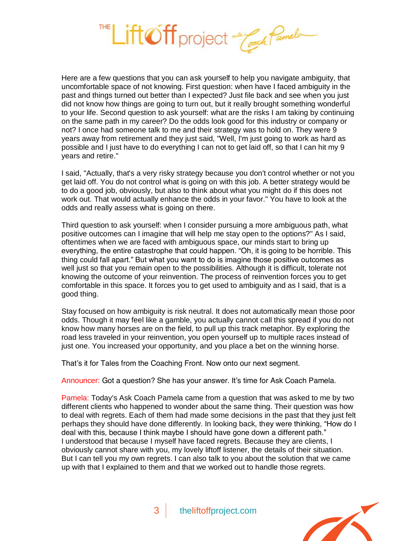

Here are a few questions that you can ask yourself to help you navigate ambiguity, that uncomfortable space of not knowing. First question: when have I faced ambiguity in the past and things turned out better than I expected? Just file back and see when you just did not know how things are going to turn out, but it really brought something wonderful to your life. Second question to ask yourself: what are the risks I am taking by continuing on the same path in my career? Do the odds look good for this industry or company or not? I once had someone talk to me and their strategy was to hold on. They were 9 years away from retirement and they just said, "Well, I'm just going to work as hard as possible and I just have to do everything I can not to get laid off, so that I can hit my 9 years and retire."

I said, "Actually, that's a very risky strategy because you don't control whether or not you get laid off. You do not control what is going on with this job. A better strategy would be to do a good job, obviously, but also to think about what you might do if this does not work out. That would actually enhance the odds in your favor." You have to look at the odds and really assess what is going on there.

Third question to ask yourself: when I consider pursuing a more ambiguous path, what positive outcomes can I imagine that will help me stay open to the options?" As I said, oftentimes when we are faced with ambiguous space, our minds start to bring up everything, the entire catastrophe that could happen. "Oh, it is going to be horrible. This thing could fall apart." But what you want to do is imagine those positive outcomes as well just so that you remain open to the possibilities. Although it is difficult, tolerate not knowing the outcome of your reinvention. The process of reinvention forces you to get comfortable in this space. It forces you to get used to ambiguity and as I said, that is a good thing.

Stay focused on how ambiguity is risk neutral. It does not automatically mean those poor odds. Though it may feel like a gamble, you actually cannot call this spread if you do not know how many horses are on the field, to pull up this track metaphor. By exploring the road less traveled in your reinvention, you open yourself up to multiple races instead of just one. You increased your opportunity, and you place a bet on the winning horse.

That's it for Tales from the Coaching Front. Now onto our next segment.

Announcer: Got a question? She has your answer. It's time for Ask Coach Pamela.

Pamela: Today's Ask Coach Pamela came from a question that was asked to me by two different clients who happened to wonder about the same thing. Their question was how to deal with regrets. Each of them had made some decisions in the past that they just felt perhaps they should have done differently. In looking back, they were thinking, "How do I deal with this, because I think maybe I should have gone down a different path." I understood that because I myself have faced regrets. Because they are clients, I obviously cannot share with you, my lovely liftoff listener, the details of their situation. But I can tell you my own regrets. I can also talk to you about the solution that we came up with that I explained to them and that we worked out to handle those regrets.

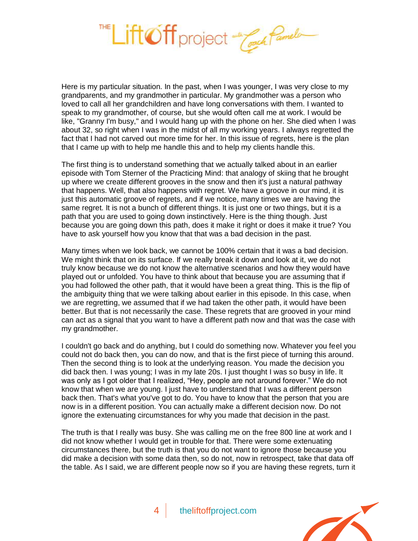

Here is my particular situation. In the past, when I was younger, I was very close to my grandparents, and my grandmother in particular. My grandmother was a person who loved to call all her grandchildren and have long conversations with them. I wanted to speak to my grandmother, of course, but she would often call me at work. I would be like, "Granny I'm busy," and I would hang up with the phone on her. She died when I was about 32, so right when I was in the midst of all my working years. I always regretted the fact that I had not carved out more time for her. In this issue of regrets, here is the plan that I came up with to help me handle this and to help my clients handle this.

The first thing is to understand something that we actually talked about in an earlier episode with Tom Sterner of the Practicing Mind: that analogy of skiing that he brought up where we create different grooves in the snow and then it's just a natural pathway that happens. Well, that also happens with regret. We have a groove in our mind, it is just this automatic groove of regrets, and if we notice, many times we are having the same regret. It is not a bunch of different things. It is just one or two things, but it is a path that you are used to going down instinctively. Here is the thing though. Just because you are going down this path, does it make it right or does it make it true? You have to ask yourself how you know that that was a bad decision in the past.

Many times when we look back, we cannot be 100% certain that it was a bad decision. We might think that on its surface. If we really break it down and look at it, we do not truly know because we do not know the alternative scenarios and how they would have played out or unfolded. You have to think about that because you are assuming that if you had followed the other path, that it would have been a great thing. This is the flip of the ambiguity thing that we were talking about earlier in this episode. In this case, when we are regretting, we assumed that if we had taken the other path, it would have been better. But that is not necessarily the case. These regrets that are grooved in your mind can act as a signal that you want to have a different path now and that was the case with my grandmother.

I couldn't go back and do anything, but I could do something now. Whatever you feel you could not do back then, you can do now, and that is the first piece of turning this around. Then the second thing is to look at the underlying reason. You made the decision you did back then. I was young; I was in my late 20s. I just thought I was so busy in life. It was only as I got older that I realized, "Hey, people are not around forever." We do not know that when we are young. I just have to understand that I was a different person back then. That's what you've got to do. You have to know that the person that you are now is in a different position. You can actually make a different decision now. Do not ignore the extenuating circumstances for why you made that decision in the past.

The truth is that I really was busy. She was calling me on the free 800 line at work and I did not know whether I would get in trouble for that. There were some extenuating circumstances there, but the truth is that you do not want to ignore those because you did make a decision with some data then, so do not, now in retrospect, take that data off the table. As I said, we are different people now so if you are having these regrets, turn it